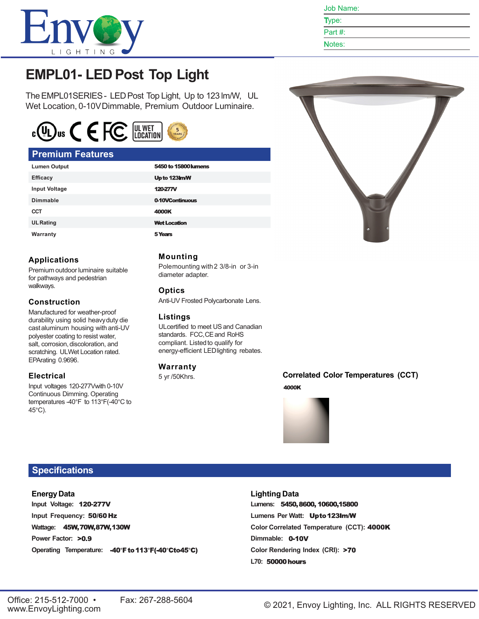

Job Name:

Type: Part #:

Notes:

# **EMPL01- LED Post Top Light**

TheEMPL01SERIES- LEDPost Top Light, Up to 123 lm/W, UL Wet Location, 0-10V Dimmable, Premium Outdoor Luminaire.



#### **Premium Features**

**Applications**

**Construction**

EPArating 0.9696.

**Electrical**

45°C).

walkways.

Premium outdoor luminaire suitable for pathways and pedestrian

Manufactured for weather-proof durability using solid heavyduty die castaluminum housing with anti-UV polyester coating to resist water, salt, corrosion, discoloration, and scratching. ULWet Location rated.

Input voltages 120-277Vwith 0-10V Continuous Dimming. Operating temperatures -40°F to 113°F(-40°C to

| <b>Lumen Output</b>  | 5450 to 15800 lumens |
|----------------------|----------------------|
| <b>Efficacy</b>      | Up to 123 m/W        |
| <b>Input Voltage</b> | <b>120277V</b>       |
| Dimmable             | 0-10VContinuous      |
| <b>CCT</b>           | 4000K                |
| <b>UL Rating</b>     | <b>Wet Location</b>  |
| Warranty             | 5 Years              |

#### **Mounting**

Polemounting with2 3/8-in or 3-in diameter adapter.

#### **Optics**

Anti-UV Frosted Polycarbonate Lens.

#### **Listings**

ULcertified to meet USand Canadian standards. FCC,CEand RoHS compliant. Listed to qualify for energy-efficient LEDlighting rebates.

#### **Warranty**

5 yr /50Khrs.

**Correlated Color Temperatures (CCT)**4000K



### **Specifications**

#### **EnergyData**

**Input Voltage: Input Frequency: Wattage: Power Factor:** Operating Temperature: -40°F to 113°F(-40°Cto45°C)

#### **Lighting Data**

Lumens: 5450, 8600, 10600, 15800 **Lumens Per Watt: Color Correlated Temperature (CCT):** Dimmable: 0-10V **Color Rendering Index (CRI): L70:**